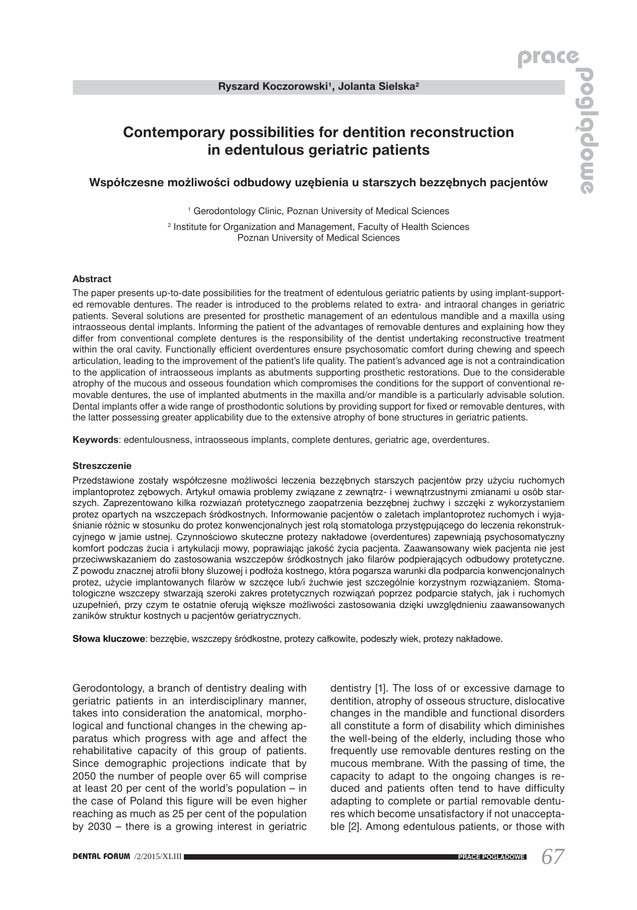# **Contemporary possibilities for dentition reconstruction in edentulous geriatric patients**

## **Współczesne możliwości odbudowy uzębienia u starszych bezzębnych pacjentów**

<sup>1</sup> Gerodontology Clinic, Poznan University of Medical Sciences 2 Institute for Organization and Management, Faculty of Health Sciences Poznan University of Medical Sciences

### **Abstract**

The paper presents up-to-date possibilities for the treatment of edentulous geriatric patients by using implant-supported removable dentures. The reader is introduced to the problems related to extra- and intraoral changes in geriatric patients. Several solutions are presented for prosthetic management of an edentulous mandible and a maxilla using intraosseous dental implants. Informing the patient of the advantages of removable dentures and explaining how they differ from conventional complete dentures is the responsibility of the dentist undertaking reconstructive treatment within the oral cavity. Functionally efficient overdentures ensure psychosomatic comfort during chewing and speech articulation, leading to the improvement of the patient's life quality. The patient's advanced age is not a contraindication to the application of intraosseous implants as abutments supporting prosthetic restorations. Due to the considerable atrophy of the mucous and osseous foundation which compromises the conditions for the support of conventional removable dentures, the use of implanted abutments in the maxilla and/or mandible is a particularly advisable solution. Dental implants offer a wide range of prosthodontic solutions by providing support for fixed or removable dentures, with the latter possessing greater applicability due to the extensive atrophy of bone structures in geriatric patients.

**Keywords**: edentulousness, intraosseous implants, complete dentures, geriatric age, overdentures.

#### **Streszczenie**

Przedstawione zostały współczesne możliwości leczenia bezzębnych starszych pacjentów przy użyciu ruchomych implantoprotez zębowych. Artykuł omawia problemy związane z zewnątrz- i wewnątrzustnymi zmianami u osób starszych. Zaprezentowano kilka rozwiazań protetycznego zaopatrzenia bezzębnej żuchwy i szczęki z wykorzystaniem protez opartych na wszczepach śródkostnych. Informowanie pacjentów o zaletach implantoprotez ruchomych i wyjaśnianie różnic w stosunku do protez konwencjonalnych jest rolą stomatologa przystępującego do leczenia rekonstrukcyjnego w jamie ustnej. Czynnościowo skuteczne protezy nakładowe (overdentures) zapewniają psychosomatyczny komfort podczas żucia i artykulacji mowy, poprawiając jakość życia pacjenta. Zaawansowany wiek pacjenta nie jest przeciwwskazaniem do zastosowania wszczepów śródkostnych jako filarów podpierających odbudowy protetyczne. Z powodu znacznej atrofii błony śluzowej i podłoża kostnego, która pogarsza warunki dla podparcia konwencjonalnych protez, użycie implantowanych filarów w szczęce lub/i żuchwie jest szczególnie korzystnym rozwiązaniem. Stomatologiczne wszczepy stwarzają szeroki zakres protetycznych rozwiązań poprzez podparcie stałych, jak i ruchomych uzupełnień, przy czym te ostatnie oferują większe możliwości zastosowania dzięki uwzględnieniu zaawansowanych zaników struktur kostnych u pacjentów geriatrycznych.

**Słowa kluczowe**: bezzębie, wszczepy śródkostne, protezy całkowite, podeszły wiek, protezy nakładowe.

Gerodontology, a branch of dentistry dealing with geriatric patients in an interdisciplinary manner, takes into consideration the anatomical, morphological and functional changes in the chewing apparatus which progress with age and affect the rehabilitative capacity of this group of patients. Since demographic projections indicate that by 2050 the number of people over 65 will comprise at least 20 per cent of the world's population – in the case of Poland this figure will be even higher reaching as much as 25 per cent of the population by 2030 – there is a growing interest in geriatric

dentistry [1]. The loss of or excessive damage to dentition, atrophy of osseous structure, dislocative changes in the mandible and functional disorders all constitute a form of disability which diminishes the well-being of the elderly, including those who frequently use removable dentures resting on the mucous membrane. With the passing of time, the capacity to adapt to the ongoing changes is reduced and patients often tend to have difficulty adapting to complete or partial removable dentures which become unsatisfactory if not unacceptable [2]. Among edentulous patients, or those with

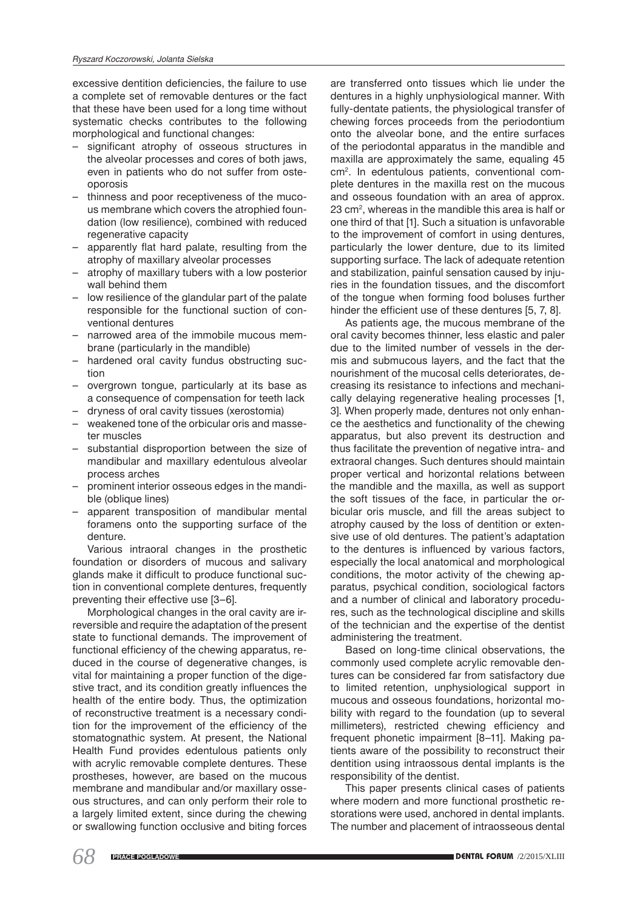excessive dentition deficiencies, the failure to use a complete set of removable dentures or the fact that these have been used for a long time without systematic checks contributes to the following morphological and functional changes:

- significant atrophy of osseous structures in the alveolar processes and cores of both jaws, even in patients who do not suffer from osteoporosis
- thinness and poor receptiveness of the mucous membrane which covers the atrophied foundation (low resilience), combined with reduced regenerative capacity
- apparently flat hard palate, resulting from the atrophy of maxillary alveolar processes
- atrophy of maxillary tubers with a low posterior wall behind them
- low resilience of the glandular part of the palate responsible for the functional suction of conventional dentures
- narrowed area of the immobile mucous membrane (particularly in the mandible)
- hardened oral cavity fundus obstructing suction
- overgrown tongue, particularly at its base as a consequence of compensation for teeth lack
- dryness of oral cavity tissues (xerostomia)
- weakened tone of the orbicular oris and masseter muscles
- substantial disproportion between the size of mandibular and maxillary edentulous alveolar process arches
- prominent interior osseous edges in the mandible (oblique lines)
- apparent transposition of mandibular mental foramens onto the supporting surface of the denture.

Various intraoral changes in the prosthetic foundation or disorders of mucous and salivary glands make it difficult to produce functional suction in conventional complete dentures, frequently preventing their effective use [3–6].

Morphological changes in the oral cavity are irreversible and require the adaptation of the present state to functional demands. The improvement of functional efficiency of the chewing apparatus, reduced in the course of degenerative changes, is vital for maintaining a proper function of the digestive tract, and its condition greatly influences the health of the entire body. Thus, the optimization of reconstructive treatment is a necessary condition for the improvement of the efficiency of the stomatognathic system. At present, the National Health Fund provides edentulous patients only with acrylic removable complete dentures. These prostheses, however, are based on the mucous membrane and mandibular and/or maxillary osseous structures, and can only perform their role to a largely limited extent, since during the chewing or swallowing function occlusive and biting forces

are transferred onto tissues which lie under the dentures in a highly unphysiological manner. With fully-dentate patients, the physiological transfer of chewing forces proceeds from the periodontium onto the alveolar bone, and the entire surfaces of the periodontal apparatus in the mandible and maxilla are approximately the same, equaling 45 cm2 . In edentulous patients, conventional complete dentures in the maxilla rest on the mucous and osseous foundation with an area of approx. 23 cm2 , whereas in the mandible this area is half or one third of that [1]. Such a situation is unfavorable to the improvement of comfort in using dentures, particularly the lower denture, due to its limited supporting surface. The lack of adequate retention and stabilization, painful sensation caused by injuries in the foundation tissues, and the discomfort of the tongue when forming food boluses further hinder the efficient use of these dentures [5, 7, 8].

As patients age, the mucous membrane of the oral cavity becomes thinner, less elastic and paler due to the limited number of vessels in the dermis and submucous layers, and the fact that the nourishment of the mucosal cells deteriorates, decreasing its resistance to infections and mechanically delaying regenerative healing processes [1, 3]. When properly made, dentures not only enhance the aesthetics and functionality of the chewing apparatus, but also prevent its destruction and thus facilitate the prevention of negative intra- and extraoral changes. Such dentures should maintain proper vertical and horizontal relations between the mandible and the maxilla, as well as support the soft tissues of the face, in particular the orbicular oris muscle, and fill the areas subject to atrophy caused by the loss of dentition or extensive use of old dentures. The patient's adaptation to the dentures is influenced by various factors, especially the local anatomical and morphological conditions, the motor activity of the chewing apparatus, psychical condition, sociological factors and a number of clinical and laboratory procedures, such as the technological discipline and skills of the technician and the expertise of the dentist administering the treatment.

Based on long-time clinical observations, the commonly used complete acrylic removable dentures can be considered far from satisfactory due to limited retention, unphysiological support in mucous and osseous foundations, horizontal mobility with regard to the foundation (up to several millimeters), restricted chewing efficiency and frequent phonetic impairment [8–11]. Making patients aware of the possibility to reconstruct their dentition using intraossous dental implants is the responsibility of the dentist.

This paper presents clinical cases of patients where modern and more functional prosthetic restorations were used, anchored in dental implants. The number and placement of intraosseous dental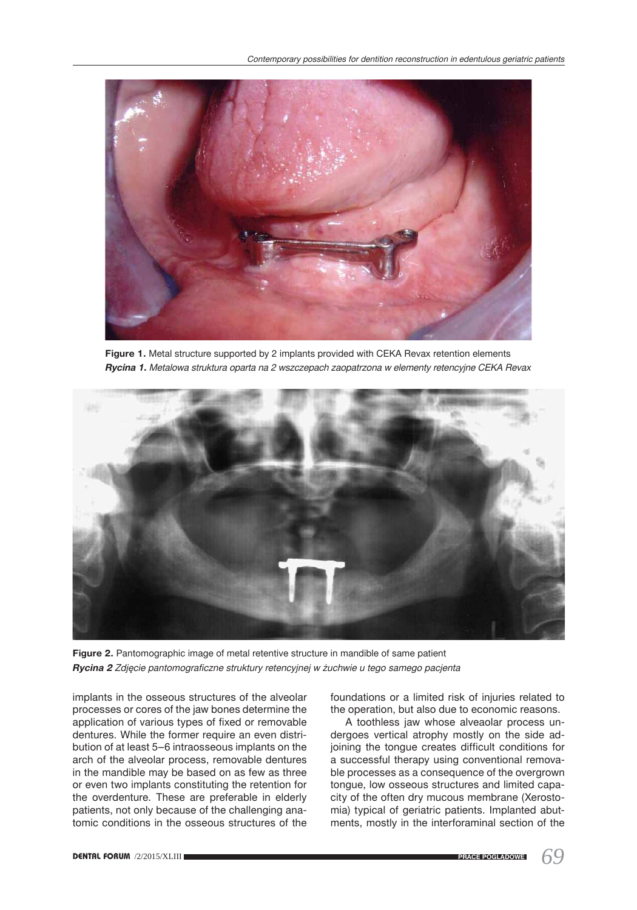

**Figure 1.** Metal structure supported by 2 implants provided with CEKA Revax retention elements *Rycina 1. Metalowa struktura oparta na 2 wszczepach zaopatrzona w elementy retencyjne CEKA Revax*



Figure 2. Pantomographic image of metal retentive structure in mandible of same patient *Rycina 2 Zdjęcie pantomograficzne struktury retencyjnej w żuchwie u tego samego pacjenta*

implants in the osseous structures of the alveolar processes or cores of the jaw bones determine the application of various types of fixed or removable dentures. While the former require an even distribution of at least 5–6 intraosseous implants on the arch of the alveolar process, removable dentures in the mandible may be based on as few as three or even two implants constituting the retention for the overdenture. These are preferable in elderly patients, not only because of the challenging anatomic conditions in the osseous structures of the

foundations or a limited risk of injuries related to the operation, but also due to economic reasons.

A toothless jaw whose alveaolar process undergoes vertical atrophy mostly on the side adjoining the tongue creates difficult conditions for a successful therapy using conventional removable processes as a consequence of the overgrown tongue, low osseous structures and limited capacity of the often dry mucous membrane (Xerostomia) typical of geriatric patients. Implanted abutments, mostly in the interforaminal section of the

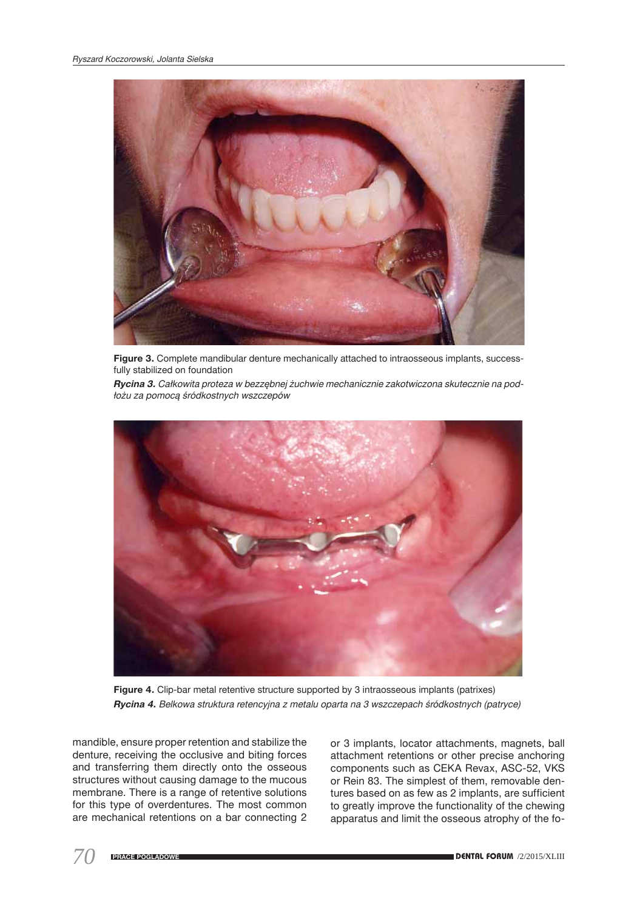

**Figure 3.** Complete mandibular denture mechanically attached to intraosseous implants, successfully stabilized on foundation

*Rycina 3. Całkowita proteza w bezzębnej żuchwie mechanicznie zakotwiczona skutecznie na podłożu za pomocą śródkostnych wszczepów* 



Figure 4. Clip-bar metal retentive structure supported by 3 intraosseous implants (patrixes) *Rycina 4. Belkowa struktura retencyjna z metalu oparta na 3 wszczepach śródkostnych (patryce)*

mandible, ensure proper retention and stabilize the denture, receiving the occlusive and biting forces and transferring them directly onto the osseous structures without causing damage to the mucous membrane. There is a range of retentive solutions for this type of overdentures. The most common are mechanical retentions on a bar connecting 2

or 3 implants, locator attachments, magnets, ball attachment retentions or other precise anchoring components such as CEKA Revax, ASC-52, VKS or Rein 83. The simplest of them, removable dentures based on as few as 2 implants, are sufficient to greatly improve the functionality of the chewing apparatus and limit the osseous atrophy of the fo-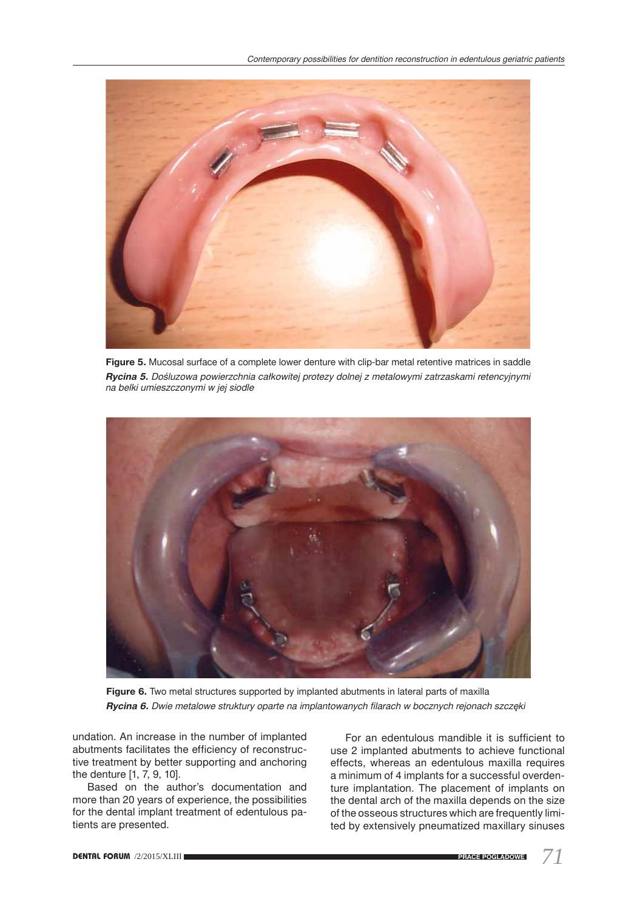

**Figure 5.** Mucosal surface of a complete lower denture with clip-bar metal retentive matrices in saddle *Rycina 5. Dośluzowa powierzchnia całkowitej protezy dolnej z metalowymi zatrzaskami retencyjnymi na belki umieszczonymi w jej siodle* 



Figure 6. Two metal structures supported by implanted abutments in lateral parts of maxilla *Rycina 6. Dwie metalowe struktury oparte na implantowanych filarach w bocznych rejonach szczęki*

undation. An increase in the number of implanted abutments facilitates the efficiency of reconstructive treatment by better supporting and anchoring the denture [1, 7, 9, 10].

Based on the author's documentation and more than 20 years of experience, the possibilities for the dental implant treatment of edentulous patients are presented.

For an edentulous mandible it is sufficient to use 2 implanted abutments to achieve functional effects, whereas an edentulous maxilla requires a minimum of 4 implants for a successful overdenture implantation. The placement of implants on the dental arch of the maxilla depends on the size of the osseous structures which are frequently limited by extensively pneumatized maxillary sinuses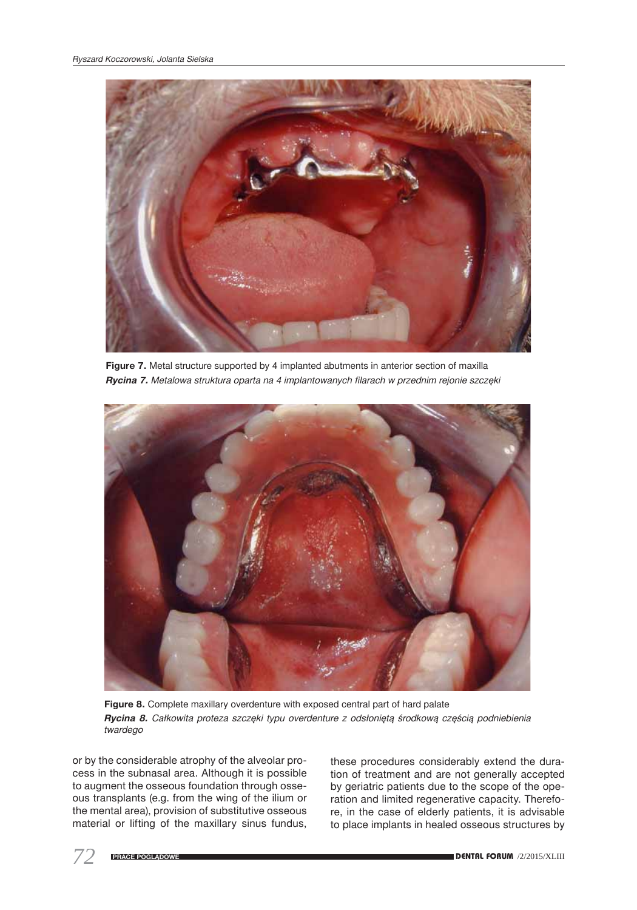

**Figure 7.** Metal structure supported by 4 implanted abutments in anterior section of maxilla *Rycina 7. Metalowa struktura oparta na 4 implantowanych filarach w przednim rejonie szczęki*



**Figure 8.** Complete maxillary overdenture with exposed central part of hard palate Rycina 8. Całkowita proteza szczęki typu overdenture z odsłoniętą środkową częścią podniebienia *twardego*

or by the considerable atrophy of the alveolar process in the subnasal area. Although it is possible to augment the osseous foundation through osseous transplants (e.g. from the wing of the ilium or the mental area), provision of substitutive osseous material or lifting of the maxillary sinus fundus,

these procedures considerably extend the duration of treatment and are not generally accepted by geriatric patients due to the scope of the operation and limited regenerative capacity. Therefore, in the case of elderly patients, it is advisable to place implants in healed osseous structures by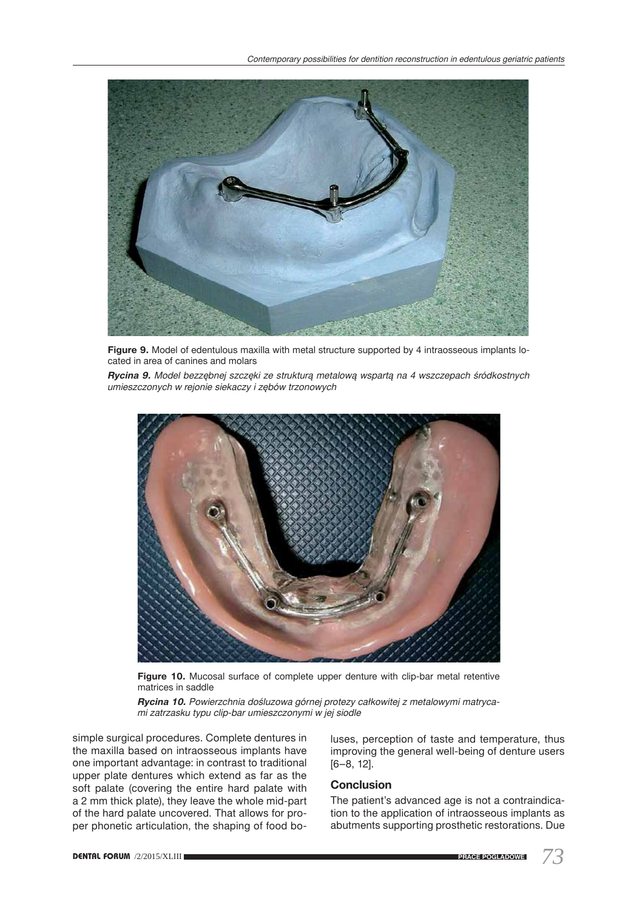

Figure 9. Model of edentulous maxilla with metal structure supported by 4 intraosseous implants located in area of canines and molars

*Rycina 9. Model bezzębnej szczęki ze strukturą metalową wspartą na 4 wszczepach śródkostnych umieszczonych w rejonie siekaczy i zębów trzonowych*



**Figure 10.** Mucosal surface of complete upper denture with clip-bar metal retentive matrices in saddle

*Rycina 10. Powierzchnia dośluzowa górnej protezy całkowitej z metalowymi matrycami zatrzasku typu clip-bar umieszczonymi w jej siodle* 

simple surgical procedures. Complete dentures in the maxilla based on intraosseous implants have one important advantage: in contrast to traditional upper plate dentures which extend as far as the soft palate (covering the entire hard palate with a 2 mm thick plate), they leave the whole mid-part of the hard palate uncovered. That allows for proper phonetic articulation, the shaping of food bo-

luses, perception of taste and temperature, thus improving the general well-being of denture users [6–8, 12].

## **Conclusion**

The patient's advanced age is not a contraindication to the application of intraosseous implants as abutments supporting prosthetic restorations. Due